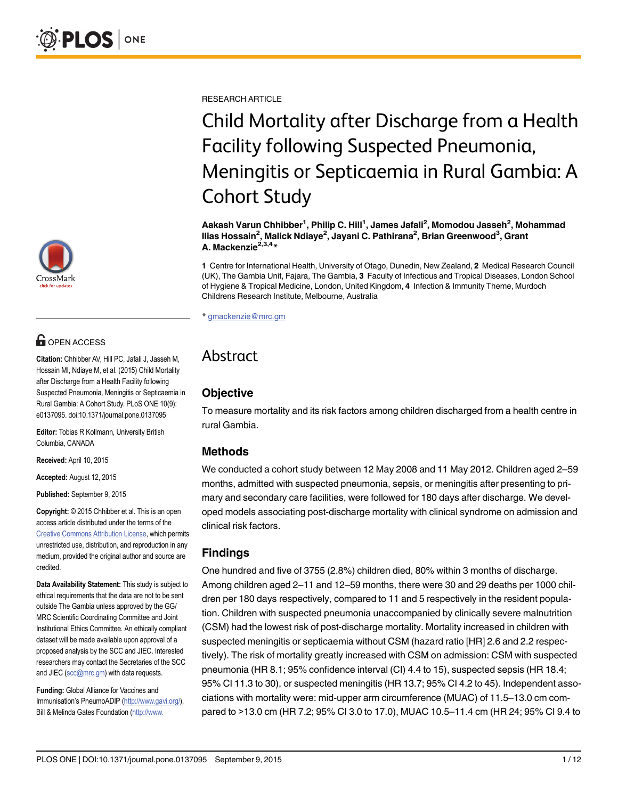

# **G** OPEN ACCESS

Citation: Chhibber AV, Hill PC, Jafali J, Jasseh M, Hossain MI, Ndiaye M, et al. (2015) Child Mortality after Discharge from a Health Facility following Suspected Pneumonia, Meningitis or Septicaemia in Rural Gambia: A Cohort Study. PLoS ONE 10(9): e0137095. doi:10.1371/journal.pone.0137095

Editor: Tobias R Kollmann, University British Columbia, CANADA

Received: April 10, 2015

Accepted: August 12, 2015

Published: September 9, 2015

Copyright: © 2015 Chhibber et al. This is an open access article distributed under the terms of the [Creative Commons Attribution License,](http://creativecommons.org/licenses/by/4.0/) which permits unrestricted use, distribution, and reproduction in any medium, provided the original author and source are credited.

Data Availability Statement: This study is subject to ethical requirements that the data are not to be sent outside The Gambia unless approved by the GG/ MRC Scientific Coordinating Committee and Joint Institutional Ethics Committee. An ethically compliant dataset will be made available upon approval of a proposed analysis by the SCC and JIEC. Interested researchers may contact the Secretaries of the SCC and JIEC (scc@mrc.gm) with data requests.

Funding: Global Alliance for Vaccines and Immunisation's PneumoADIP [\(http://www.gavi.org/](http://www.gavi.org/)), Bill & Melinda Gates Foundation [\(http://www.](http://www.gatesfoundation.org/)

RESEARCH ARTICLE

# Child Mortality after Discharge from a Health Facility following Suspected Pneumonia, Meningitis or Septicaemia in Rural Gambia: A Cohort Study

Aakash Varun Chhibber<sup>1</sup>, Philip C. Hill<sup>1</sup>, James Jafali<sup>2</sup>, Momodou Jasseh<sup>2</sup>, Mohammad llias Hossain<sup>2</sup>, Malick Ndiaye<sup>2</sup>, Jayani C. Pathirana<sup>2</sup>, Brian Greenwood<sup>3</sup>, Grant A. Mackenzie<sup>2,3,4</sup>\*

1 Centre for International Health, University of Otago, Dunedin, New Zealand, 2 Medical Research Council (UK), The Gambia Unit, Fajara, The Gambia, 3 Faculty of Infectious and Tropical Diseases, London School of Hygiene & Tropical Medicine, London, United Kingdom, 4 Infection & Immunity Theme, Murdoch Childrens Research Institute, Melbourne, Australia

\* gmackenzie@mrc.gm

# Abstract

# **Objective**

To measure mortality and its risk factors among children discharged from a health centre in rural Gambia.

#### Methods

We conducted a cohort study between 12 May 2008 and 11 May 2012. Children aged 2–59 months, admitted with suspected pneumonia, sepsis, or meningitis after presenting to primary and secondary care facilities, were followed for 180 days after discharge. We developed models associating post-discharge mortality with clinical syndrome on admission and clinical risk factors.

# Findings

One hundred and five of 3755 (2.8%) children died, 80% within 3 months of discharge. Among children aged 2–11 and 12–59 months, there were 30 and 29 deaths per 1000 children per 180 days respectively, compared to 11 and 5 respectively in the resident population. Children with suspected pneumonia unaccompanied by clinically severe malnutrition (CSM) had the lowest risk of post-discharge mortality. Mortality increased in children with suspected meningitis or septicaemia without CSM (hazard ratio [HR] 2.6 and 2.2 respectively). The risk of mortality greatly increased with CSM on admission: CSM with suspected pneumonia (HR 8.1; 95% confidence interval (CI) 4.4 to 15), suspected sepsis (HR 18.4; 95% CI 11.3 to 30), or suspected meningitis (HR 13.7; 95% CI 4.2 to 45). Independent associations with mortality were: mid-upper arm circumference (MUAC) of 11.5–13.0 cm compared to >13.0 cm (HR 7.2; 95% CI 3.0 to 17.0), MUAC 10.5–11.4 cm (HR 24; 95% CI 9.4 to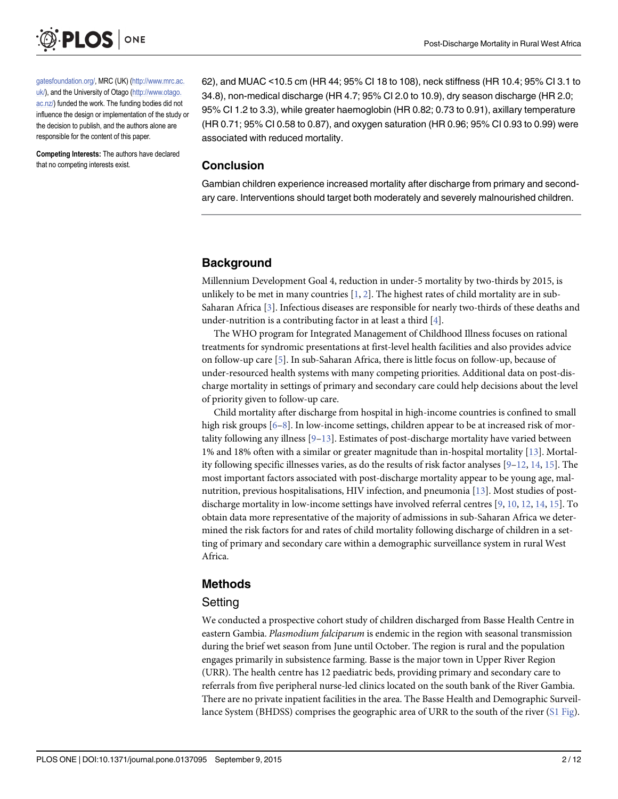<span id="page-1-0"></span>

[gatesfoundation.org/,](http://www.gatesfoundation.org/) MRC (UK) [\(http://www.mrc.ac.](http://www.mrc.ac.uk/) [uk/\)](http://www.mrc.ac.uk/), and the University of Otago [\(http://www.otago.](http://www.otago.ac.nz/) [ac.nz/](http://www.otago.ac.nz/)) funded the work. The funding bodies did not influence the design or implementation of the study or the decision to publish, and the authors alone are responsible for the content of this paper.

Competing Interests: The authors have declared that no competing interests exist.

62), and MUAC <10.5 cm (HR 44; 95% CI 18 to 108), neck stiffness (HR 10.4; 95% CI 3.1 to 34.8), non-medical discharge (HR 4.7; 95% CI 2.0 to 10.9), dry season discharge (HR 2.0; 95% CI 1.2 to 3.3), while greater haemoglobin (HR 0.82; 0.73 to 0.91), axillary temperature (HR 0.71; 95% CI 0.58 to 0.87), and oxygen saturation (HR 0.96; 95% CI 0.93 to 0.99) were associated with reduced mortality.

#### Conclusion

Gambian children experience increased mortality after discharge from primary and secondary care. Interventions should target both moderately and severely malnourished children.

# **Background**

Millennium Development Goal 4, reduction in under-5 mortality by two-thirds by 2015, is unlikely to be met in many countries  $[1, 2]$  $[1, 2]$  $[1, 2]$  $[1, 2]$ . The highest rates of child mortality are in sub-Saharan Africa [[3](#page-10-0)]. Infectious diseases are responsible for nearly two-thirds of these deaths and under-nutrition is a contributing factor in at least a third  $[4]$  $[4]$  $[4]$ .

The WHO program for Integrated Management of Childhood Illness focuses on rational treatments for syndromic presentations at first-level health facilities and also provides advice on follow-up care [[5](#page-10-0)]. In sub-Saharan Africa, there is little focus on follow-up, because of under-resourced health systems with many competing priorities. Additional data on post-discharge mortality in settings of primary and secondary care could help decisions about the level of priority given to follow-up care.

Child mortality after discharge from hospital in high-income countries is confined to small high risk groups  $[6-8]$  $[6-8]$  $[6-8]$ . In low-income settings, children appear to be at increased risk of mortality following any illness  $[9-13]$  $[9-13]$  $[9-13]$  $[9-13]$  $[9-13]$ . Estimates of post-discharge mortality have varied between 1% and 18% often with a similar or greater magnitude than in-hospital mortality  $[13]$  $[13]$ . Mortality following specific illnesses varies, as do the results of risk factor analyses  $[9-12, 14, 15]$  $[9-12, 14, 15]$  $[9-12, 14, 15]$  $[9-12, 14, 15]$  $[9-12, 14, 15]$  $[9-12, 14, 15]$  $[9-12, 14, 15]$  $[9-12, 14, 15]$  $[9-12, 14, 15]$ . The most important factors associated with post-discharge mortality appear to be young age, malnutrition, previous hospitalisations, HIV infection, and pneumonia [\[13\]](#page-11-0). Most studies of postdischarge mortality in low-income settings have involved referral centres [\[9](#page-10-0), [10](#page-10-0), [12](#page-11-0), [14](#page-11-0), [15](#page-11-0)]. To obtain data more representative of the majority of admissions in sub-Saharan Africa we determined the risk factors for and rates of child mortality following discharge of children in a setting of primary and secondary care within a demographic surveillance system in rural West Africa.

# Methods

# **Setting**

We conducted a prospective cohort study of children discharged from Basse Health Centre in eastern Gambia. Plasmodium falciparum is endemic in the region with seasonal transmission during the brief wet season from June until October. The region is rural and the population engages primarily in subsistence farming. Basse is the major town in Upper River Region (URR). The health centre has 12 paediatric beds, providing primary and secondary care to referrals from five peripheral nurse-led clinics located on the south bank of the River Gambia. There are no private inpatient facilities in the area. The Basse Health and Demographic Surveillance System (BHDSS) comprises the geographic area of URR to the south of the river  $(S1 \text{ Fig}).$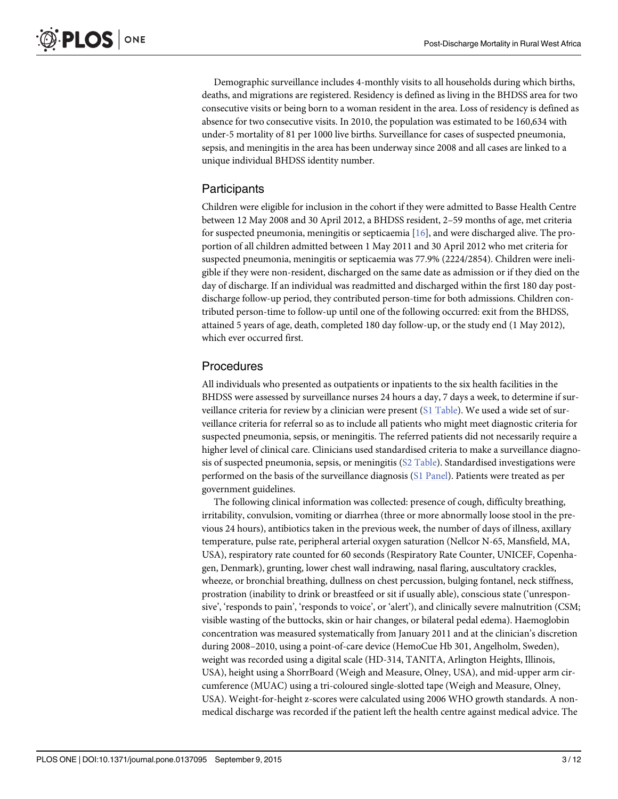<span id="page-2-0"></span>Demographic surveillance includes 4-monthly visits to all households during which births, deaths, and migrations are registered. Residency is defined as living in the BHDSS area for two consecutive visits or being born to a woman resident in the area. Loss of residency is defined as absence for two consecutive visits. In 2010, the population was estimated to be 160,634 with under-5 mortality of 81 per 1000 live births. Surveillance for cases of suspected pneumonia, sepsis, and meningitis in the area has been underway since 2008 and all cases are linked to a unique individual BHDSS identity number.

### **Participants**

Children were eligible for inclusion in the cohort if they were admitted to Basse Health Centre between 12 May 2008 and 30 April 2012, a BHDSS resident, 2–59 months of age, met criteria for suspected pneumonia, meningitis or septicaemia  $[16]$  $[16]$  $[16]$ , and were discharged alive. The proportion of all children admitted between 1 May 2011 and 30 April 2012 who met criteria for suspected pneumonia, meningitis or septicaemia was 77.9% (2224/2854). Children were ineligible if they were non-resident, discharged on the same date as admission or if they died on the day of discharge. If an individual was readmitted and discharged within the first 180 day postdischarge follow-up period, they contributed person-time for both admissions. Children contributed person-time to follow-up until one of the following occurred: exit from the BHDSS, attained 5 years of age, death, completed 180 day follow-up, or the study end (1 May 2012), which ever occurred first.

#### Procedures

All individuals who presented as outpatients or inpatients to the six health facilities in the BHDSS were assessed by surveillance nurses 24 hours a day, 7 days a week, to determine if sur-veillance criteria for review by a clinician were present [\(S1 Table](#page-9-0)). We used a wide set of surveillance criteria for referral so as to include all patients who might meet diagnostic criteria for suspected pneumonia, sepsis, or meningitis. The referred patients did not necessarily require a higher level of clinical care. Clinicians used standardised criteria to make a surveillance diagnosis of suspected pneumonia, sepsis, or meningitis ([S2 Table\)](#page-9-0). Standardised investigations were performed on the basis of the surveillance diagnosis ([S1 Panel\)](#page-9-0). Patients were treated as per government guidelines.

The following clinical information was collected: presence of cough, difficulty breathing, irritability, convulsion, vomiting or diarrhea (three or more abnormally loose stool in the previous 24 hours), antibiotics taken in the previous week, the number of days of illness, axillary temperature, pulse rate, peripheral arterial oxygen saturation (Nellcor N-65, Mansfield, MA, USA), respiratory rate counted for 60 seconds (Respiratory Rate Counter, UNICEF, Copenhagen, Denmark), grunting, lower chest wall indrawing, nasal flaring, auscultatory crackles, wheeze, or bronchial breathing, dullness on chest percussion, bulging fontanel, neck stiffness, prostration (inability to drink or breastfeed or sit if usually able), conscious state ('unresponsive', 'responds to pain', 'responds to voice', or 'alert'), and clinically severe malnutrition (CSM; visible wasting of the buttocks, skin or hair changes, or bilateral pedal edema). Haemoglobin concentration was measured systematically from January 2011 and at the clinician's discretion during 2008–2010, using a point-of-care device (HemoCue Hb 301, Angelholm, Sweden), weight was recorded using a digital scale (HD-314, TANITA, Arlington Heights, Illinois, USA), height using a ShorrBoard (Weigh and Measure, Olney, USA), and mid-upper arm circumference (MUAC) using a tri-coloured single-slotted tape (Weigh and Measure, Olney, USA). Weight-for-height z-scores were calculated using 2006 WHO growth standards. A nonmedical discharge was recorded if the patient left the health centre against medical advice. The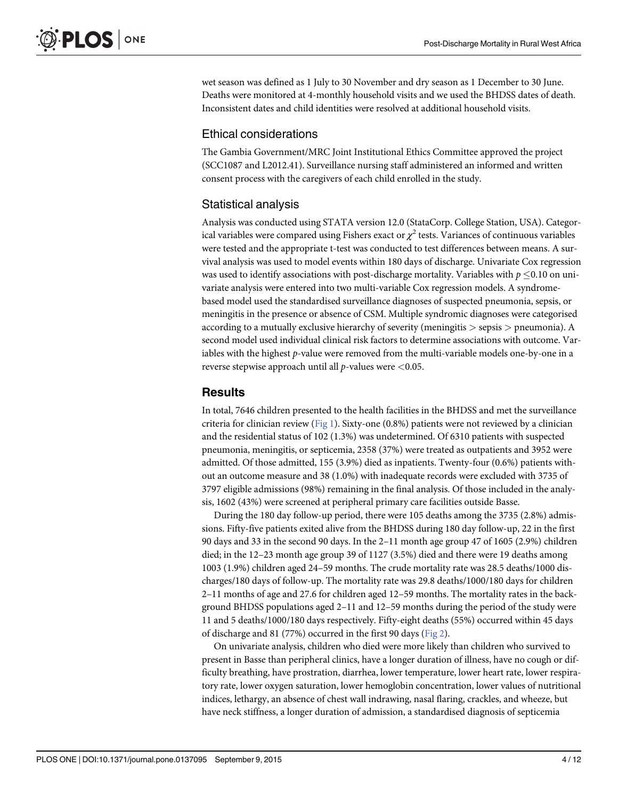<span id="page-3-0"></span>wet season was defined as 1 July to 30 November and dry season as 1 December to 30 June. Deaths were monitored at 4-monthly household visits and we used the BHDSS dates of death. Inconsistent dates and child identities were resolved at additional household visits.

#### Ethical considerations

The Gambia Government/MRC Joint Institutional Ethics Committee approved the project (SCC1087 and L2012.41). Surveillance nursing staff administered an informed and written consent process with the caregivers of each child enrolled in the study.

# Statistical analysis

Analysis was conducted using STATA version 12.0 (StataCorp. College Station, USA). Categorical variables were compared using Fishers exact or  $\chi^2$  tests. Variances of continuous variables were tested and the appropriate t-test was conducted to test differences between means. A survival analysis was used to model events within 180 days of discharge. Univariate Cox regression was used to identify associations with post-discharge mortality. Variables with  $p \leq 0.10$  on univariate analysis were entered into two multi-variable Cox regression models. A syndromebased model used the standardised surveillance diagnoses of suspected pneumonia, sepsis, or meningitis in the presence or absence of CSM. Multiple syndromic diagnoses were categorised according to a mutually exclusive hierarchy of severity (meningitis > sepsis > pneumonia). A second model used individual clinical risk factors to determine associations with outcome. Variables with the highest p-value were removed from the multi-variable models one-by-one in a reverse stepwise approach until all  $p$ -values were <0.05.

#### **Results**

In total, 7646 children presented to the health facilities in the BHDSS and met the surveillance criteria for clinician review ([Fig 1](#page-4-0)). Sixty-one (0.8%) patients were not reviewed by a clinician and the residential status of 102 (1.3%) was undetermined. Of 6310 patients with suspected pneumonia, meningitis, or septicemia, 2358 (37%) were treated as outpatients and 3952 were admitted. Of those admitted, 155 (3.9%) died as inpatients. Twenty-four (0.6%) patients without an outcome measure and 38 (1.0%) with inadequate records were excluded with 3735 of 3797 eligible admissions (98%) remaining in the final analysis. Of those included in the analysis, 1602 (43%) were screened at peripheral primary care facilities outside Basse.

During the 180 day follow-up period, there were 105 deaths among the 3735 (2.8%) admissions. Fifty-five patients exited alive from the BHDSS during 180 day follow-up, 22 in the first 90 days and 33 in the second 90 days. In the 2–11 month age group 47 of 1605 (2.9%) children died; in the 12–23 month age group 39 of 1127 (3.5%) died and there were 19 deaths among 1003 (1.9%) children aged 24–59 months. The crude mortality rate was 28.5 deaths/1000 discharges/180 days of follow-up. The mortality rate was 29.8 deaths/1000/180 days for children 2–11 months of age and 27.6 for children aged 12–59 months. The mortality rates in the background BHDSS populations aged 2–11 and 12–59 months during the period of the study were 11 and 5 deaths/1000/180 days respectively. Fifty-eight deaths (55%) occurred within 45 days of discharge and 81 (77%) occurred in the first 90 days ([Fig 2](#page-5-0)).

On univariate analysis, children who died were more likely than children who survived to present in Basse than peripheral clinics, have a longer duration of illness, have no cough or difficulty breathing, have prostration, diarrhea, lower temperature, lower heart rate, lower respiratory rate, lower oxygen saturation, lower hemoglobin concentration, lower values of nutritional indices, lethargy, an absence of chest wall indrawing, nasal flaring, crackles, and wheeze, but have neck stiffness, a longer duration of admission, a standardised diagnosis of septicemia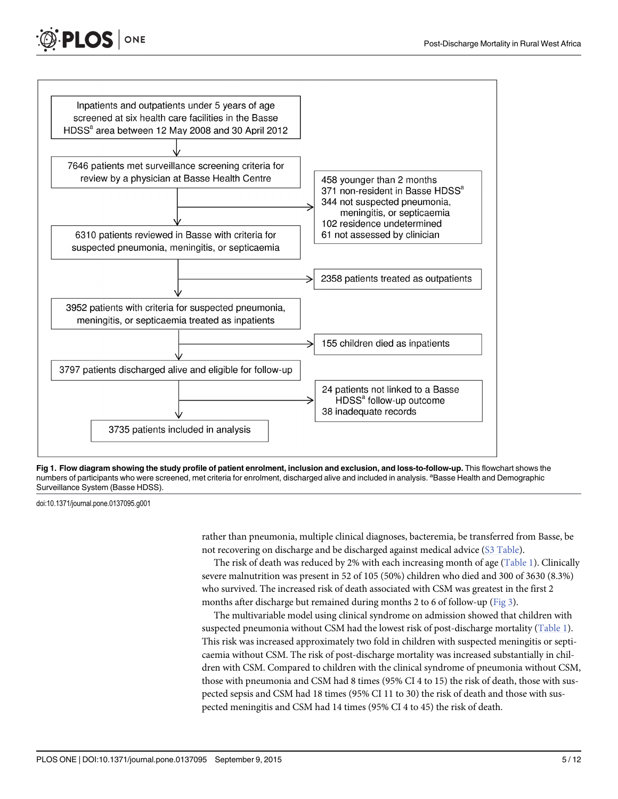<span id="page-4-0"></span>



[Fig 1. F](#page-3-0)low diagram showing the study profile of patient enrolment, inclusion and exclusion, and loss-to-follow-up. This flowchart shows the numbers of participants who were screened, met criteria for enrolment, discharged alive and included in analysis. <sup>a</sup>Basse Health and Demographic Surveillance System (Basse HDSS).

doi:10.1371/journal.pone.0137095.g001

rather than pneumonia, multiple clinical diagnoses, bacteremia, be transferred from Basse, be not recovering on discharge and be discharged against medical advice ([S3 Table](#page-9-0)).

The risk of death was reduced by 2% with each increasing month of age ([Table 1\)](#page-5-0). Clinically severe malnutrition was present in 52 of 105 (50%) children who died and 300 of 3630 (8.3%) who survived. The increased risk of death associated with CSM was greatest in the first 2 months after discharge but remained during months 2 to 6 of follow-up ([Fig 3](#page-6-0)).

The multivariable model using clinical syndrome on admission showed that children with suspected pneumonia without CSM had the lowest risk of post-discharge mortality [\(Table 1](#page-5-0)). This risk was increased approximately two fold in children with suspected meningitis or septicaemia without CSM. The risk of post-discharge mortality was increased substantially in children with CSM. Compared to children with the clinical syndrome of pneumonia without CSM, those with pneumonia and CSM had 8 times (95% CI 4 to 15) the risk of death, those with suspected sepsis and CSM had 18 times (95% CI 11 to 30) the risk of death and those with suspected meningitis and CSM had 14 times (95% CI 4 to 45) the risk of death.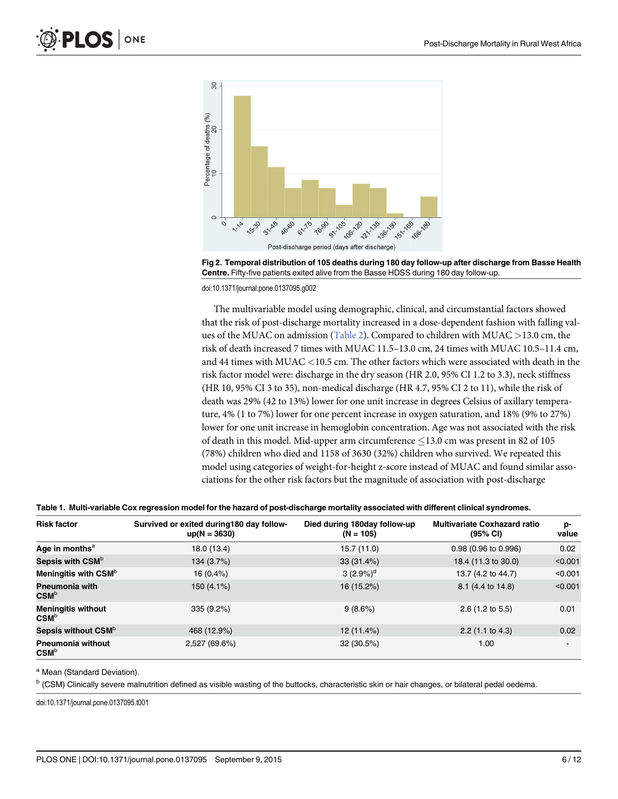<span id="page-5-0"></span>

[Fig 2. T](#page-3-0)emporal distribution of 105 deaths during 180 day follow-up after discharge from Basse Health Centre. Fifty-five patients exited alive from the Basse HDSS during 180 day follow-up.

doi:10.1371/journal.pone.0137095.g002

The multivariable model using demographic, clinical, and circumstantial factors showed that the risk of post-discharge mortality increased in a dose-dependent fashion with falling values of the MUAC on admission ([Table 2](#page-7-0)). Compared to children with MUAC >13.0 cm, the risk of death increased 7 times with MUAC 11.5–13.0 cm, 24 times with MUAC 10.5–11.4 cm, and 44 times with MUAC <10.5 cm. The other factors which were associated with death in the risk factor model were: discharge in the dry season (HR 2.0, 95% CI 1.2 to 3.3), neck stiffness (HR 10, 95% CI 3 to 35), non-medical discharge (HR 4.7, 95% CI 2 to 11), while the risk of death was 29% (42 to 13%) lower for one unit increase in degrees Celsius of axillary temperature, 4% (1 to 7%) lower for one percent increase in oxygen saturation, and 18% (9% to 27%) lower for one unit increase in hemoglobin concentration. Age was not associated with the risk of death in this model. Mid-upper arm circumference  $\leq$ 13.0 cm was present in 82 of 105 (78%) children who died and 1158 of 3630 (32%) children who survived. We repeated this model using categories of weight-for-height z-score instead of MUAC and found similar associations for the other risk factors but the magnitude of association with post-discharge

|  |  | Table 1. Multi-variable Cox regression model for the hazard of post-discharge mortality associated with different clinical syndromes. |  |
|--|--|---------------------------------------------------------------------------------------------------------------------------------------|--|
|  |  |                                                                                                                                       |  |

| <b>Risk factor</b>                                    | Survived or exited during 180 day follow-<br>$up(N = 3630)$ | Died during 180day follow-up<br>$(N = 105)$ | <b>Multivariate Coxhazard ratio</b><br>$(95% \, \text{Cl})$ | p-<br>value |
|-------------------------------------------------------|-------------------------------------------------------------|---------------------------------------------|-------------------------------------------------------------|-------------|
| Age in months $a$                                     | 18.0 (13.4)                                                 | 15.7(11.0)                                  | 0.98 (0.96 to 0.996)                                        | 0.02        |
| Sepsis with CSM <sup>b</sup>                          | 134 (3.7%)                                                  | 33(31.4%)                                   | 18.4 (11.3 to 30.0)                                         | < 0.001     |
| Meningitis with CSM <sup>b</sup>                      | $16(0.4\%)$                                                 | 3 $(2.9\%)^d$                               | 13.7 (4.2 to 44.7)                                          | < 0.001     |
| <b>Pneumonia with</b><br>$\mathsf{CSM}^\texttt{b}$    | 150 (4.1%)                                                  | 16 (15.2%)                                  | 8.1 (4.4 to 14.8)                                           | < 0.001     |
| <b>Meningitis without</b><br>$CSM^b$                  | 335(9.2%)                                                   | 9(8.6%)                                     | $2.6$ (1.2 to 5.5)                                          | 0.01        |
| Sepsis without CSM <sup>b</sup>                       | 468 (12.9%)                                                 | 12 (11.4%)                                  | $2.2$ (1.1 to 4.3)                                          | 0.02        |
| <b>Pneumonia without</b><br>$\mathsf{CSM}^\mathsf{b}$ | 2,527 (69.6%)                                               | 32 (30.5%)                                  | 1.00                                                        |             |

a Mean (Standard Deviation).

<sup>b</sup> (CSM) Clinically severe malnutrition defined as visible wasting of the buttocks, characteristic skin or hair changes, or bilateral pedal oedema.

doi:10.1371/journal.pone.0137095.t001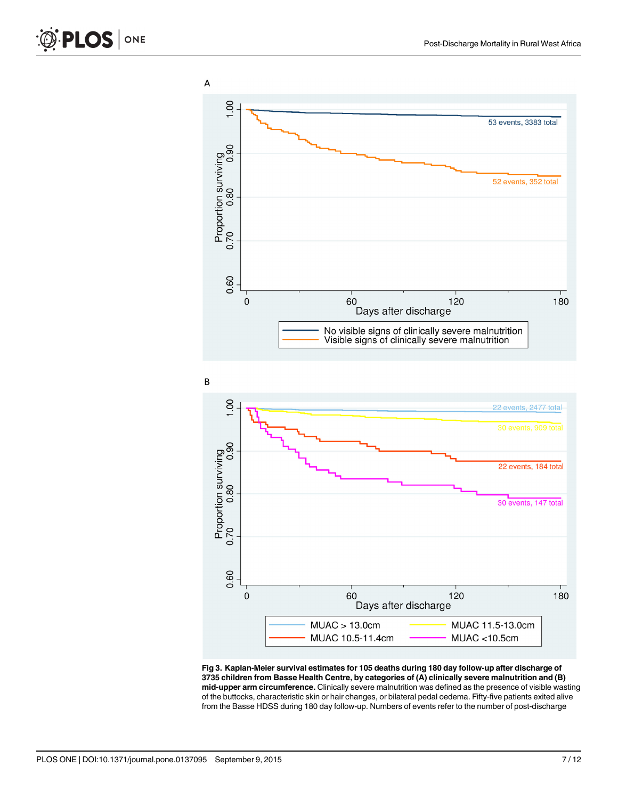<span id="page-6-0"></span>



60  $\mathbf 0$ 120 180 Days after discharge  $MUAC > 13.0cm$ MUAC 11.5-13.0cm MUAC 10.5-11.4cm  $MUAC < 10.5cm$ [Fig 3. K](#page-4-0)aplan-Meier survival estimates for 105 deaths during 180 day follow-up after discharge of

3735 children from Basse Health Centre, by categories of (A) clinically severe malnutrition and (B) mid-upper arm circumference. Clinically severe malnutrition was defined as the presence of visible wasting of the buttocks, characteristic skin or hair changes, or bilateral pedal oedema. Fifty-five patients exited alive from the Basse HDSS during 180 day follow-up. Numbers of events refer to the number of post-discharge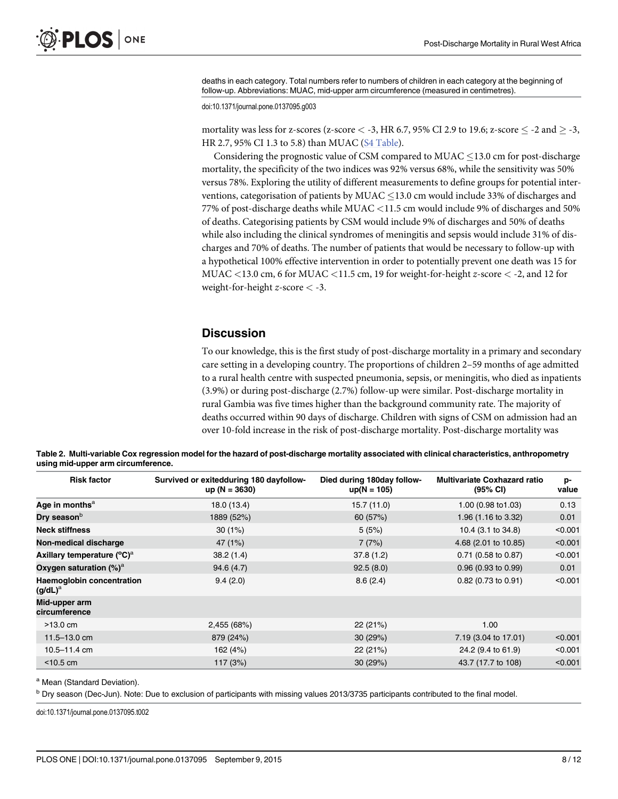<span id="page-7-0"></span>deaths in each category. Total numbers refer to numbers of children in each category at the beginning of follow-up. Abbreviations: MUAC, mid-upper arm circumference (measured in centimetres).

doi:10.1371/journal.pone.0137095.g003

mortality was less for z-scores (z-score  $<-3$ , HR 6.7, 95% CI 2.9 to 19.6; z-score  $\leq$  -2 and  $\geq$  -3, HR 2.7, 95% CI 1.3 to 5.8) than MUAC ([S4 Table\)](#page-10-0).

Considering the prognostic value of CSM compared to  $MUAC \le 13.0$  cm for post-discharge mortality, the specificity of the two indices was 92% versus 68%, while the sensitivity was 50% versus 78%. Exploring the utility of different measurements to define groups for potential interventions, categorisation of patients by MUAC  $\leq$  13.0 cm would include 33% of discharges and 77% of post-discharge deaths while MUAC <11.5 cm would include 9% of discharges and 50% of deaths. Categorising patients by CSM would include 9% of discharges and 50% of deaths while also including the clinical syndromes of meningitis and sepsis would include 31% of discharges and 70% of deaths. The number of patients that would be necessary to follow-up with a hypothetical 100% effective intervention in order to potentially prevent one death was 15 for MUAC  $\lt$ 13.0 cm, 6 for MUAC  $\lt$ 11.5 cm, 19 for weight-for-height z-score  $\lt$  -2, and 12 for weight-for-height z-score < -3.

#### **Discussion**

To our knowledge, this is the first study of post-discharge mortality in a primary and secondary care setting in a developing country. The proportions of children 2–59 months of age admitted to a rural health centre with suspected pneumonia, sepsis, or meningitis, who died as inpatients (3.9%) or during post-discharge (2.7%) follow-up were similar. Post-discharge mortality in rural Gambia was five times higher than the background community rate. The majority of deaths occurred within 90 days of discharge. Children with signs of CSM on admission had an over 10-fold increase in the risk of post-discharge mortality. Post-discharge mortality was

| Table 2. Multi-variable Cox regression model for the hazard of post-discharge mortality associated with clinical characteristics, anthropometry |  |  |
|-------------------------------------------------------------------------------------------------------------------------------------------------|--|--|
| using mid-upper arm circumference.                                                                                                              |  |  |

| <b>Risk factor</b>                             | Survived or exitedduring 180 dayfollow-<br>$up(N = 3630)$ | Died during 180day follow-<br>$up(N = 105)$ | <b>Multivariate Coxhazard ratio</b><br>(95% CI) | p-<br>value |
|------------------------------------------------|-----------------------------------------------------------|---------------------------------------------|-------------------------------------------------|-------------|
| Age in months <sup>a</sup>                     | 18.0 (13.4)                                               | 15.7(11.0)                                  | 1.00 (0.98 to 1.03)                             | 0.13        |
| Dry season <sup>b</sup>                        | 1889 (52%)                                                | 60 (57%)                                    | 1.96 (1.16 to 3.32)                             | 0.01        |
| <b>Neck stiffness</b>                          | 30(1%)                                                    | 5(5%)                                       | 10.4 (3.1 to 34.8)                              | < 0.001     |
| Non-medical discharge                          | 47 (1%)                                                   | 7(7%)                                       | 4.68 (2.01 to 10.85)                            | < 0.001     |
| Axillary temperature (°C) <sup>a</sup>         | 38.2(1.4)                                                 | 37.8(1.2)                                   | $0.71$ (0.58 to 0.87)                           | < 0.001     |
| Oxygen saturation $(\%)^a$                     | 94.6(4.7)                                                 | 92.5(8.0)                                   | $0.96$ (0.93 to 0.99)                           | 0.01        |
| <b>Haemoglobin concentration</b><br>$(g/dL)^a$ | 9.4(2.0)                                                  | 8.6(2.4)                                    | $0.82$ (0.73 to 0.91)                           | < 0.001     |
| Mid-upper arm<br>circumference                 |                                                           |                                             |                                                 |             |
| $>13.0 \text{ cm}$                             | 2,455 (68%)                                               | 22(21%)                                     | 1.00                                            |             |
| 11.5-13.0 cm                                   | 879 (24%)                                                 | 30(29%)                                     | 7.19 (3.04 to 17.01)                            | < 0.001     |
| $10.5 - 11.4$ cm                               | 162 (4%)                                                  | 22 (21%)                                    | 24.2 (9.4 to 61.9)                              | < 0.001     |
| $<$ 10.5 cm                                    | 117(3%)                                                   | 30(29%)                                     | 43.7 (17.7 to 108)                              | < 0.001     |

a Mean (Standard Deviation).

<sup>b</sup> Dry season (Dec-Jun). Note: Due to exclusion of participants with missing values 2013/3735 participants contributed to the final model.

doi:10.1371/journal.pone.0137095.t002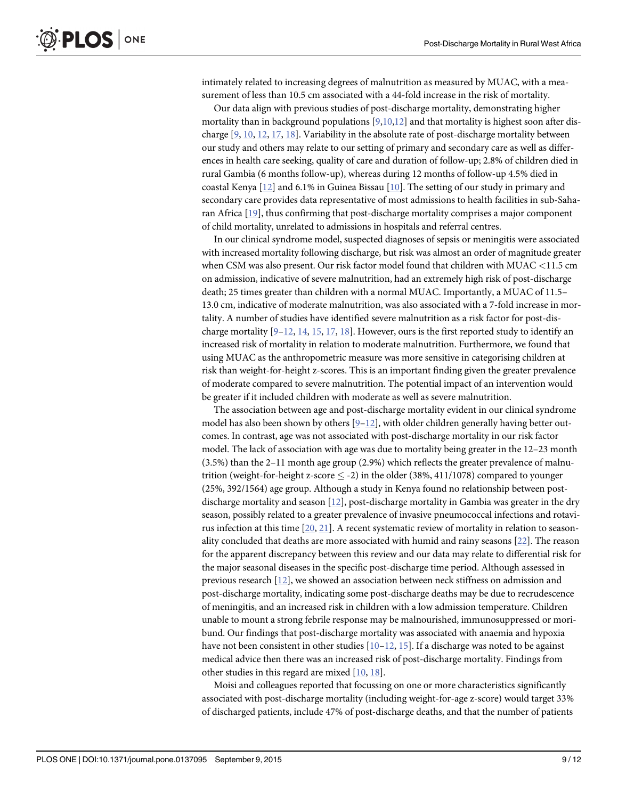<span id="page-8-0"></span>intimately related to increasing degrees of malnutrition as measured by MUAC, with a measurement of less than 10.5 cm associated with a 44-fold increase in the risk of mortality.

Our data align with previous studies of post-discharge mortality, demonstrating higher mortality than in background populations  $[9,10,12]$  $[9,10,12]$  $[9,10,12]$  and that mortality is highest soon after discharge [[9,](#page-10-0) [10,](#page-10-0) [12,](#page-11-0) [17,](#page-11-0) [18\]](#page-11-0). Variability in the absolute rate of post-discharge mortality between our study and others may relate to our setting of primary and secondary care as well as differences in health care seeking, quality of care and duration of follow-up; 2.8% of children died in rural Gambia (6 months follow-up), whereas during 12 months of follow-up 4.5% died in coastal Kenya  $[12]$  and 6.1% in Guinea Bissau  $[10]$  $[10]$ . The setting of our study in primary and secondary care provides data representative of most admissions to health facilities in sub-Saharan Africa [[19\]](#page-11-0), thus confirming that post-discharge mortality comprises a major component of child mortality, unrelated to admissions in hospitals and referral centres.

In our clinical syndrome model, suspected diagnoses of sepsis or meningitis were associated with increased mortality following discharge, but risk was almost an order of magnitude greater when CSM was also present. Our risk factor model found that children with MUAC <11.5 cm on admission, indicative of severe malnutrition, had an extremely high risk of post-discharge death; 25 times greater than children with a normal MUAC. Importantly, a MUAC of 11.5– 13.0 cm, indicative of moderate malnutrition, was also associated with a 7-fold increase in mortality. A number of studies have identified severe malnutrition as a risk factor for post-discharge mortality  $[9-12, 14, 15, 17, 18]$  $[9-12, 14, 15, 17, 18]$  $[9-12, 14, 15, 17, 18]$  $[9-12, 14, 15, 17, 18]$  $[9-12, 14, 15, 17, 18]$  $[9-12, 14, 15, 17, 18]$  $[9-12, 14, 15, 17, 18]$  $[9-12, 14, 15, 17, 18]$  $[9-12, 14, 15, 17, 18]$  $[9-12, 14, 15, 17, 18]$  $[9-12, 14, 15, 17, 18]$  $[9-12, 14, 15, 17, 18]$ . However, ours is the first reported study to identify an increased risk of mortality in relation to moderate malnutrition. Furthermore, we found that using MUAC as the anthropometric measure was more sensitive in categorising children at risk than weight-for-height z-scores. This is an important finding given the greater prevalence of moderate compared to severe malnutrition. The potential impact of an intervention would be greater if it included children with moderate as well as severe malnutrition.

The association between age and post-discharge mortality evident in our clinical syndrome model has also been shown by others  $[9-12]$  $[9-12]$  $[9-12]$ , with older children generally having better outcomes. In contrast, age was not associated with post-discharge mortality in our risk factor model. The lack of association with age was due to mortality being greater in the 12–23 month (3.5%) than the 2–11 month age group (2.9%) which reflects the greater prevalence of malnutrition (weight-for-height z-score  $\leq$  -2) in the older (38%, 411/1078) compared to younger (25%, 392/1564) age group. Although a study in Kenya found no relationship between postdischarge mortality and season  $[12]$ , post-discharge mortality in Gambia was greater in the dry season, possibly related to a greater prevalence of invasive pneumococcal infections and rotavirus infection at this time [\[20,](#page-11-0) [21\]](#page-11-0). A recent systematic review of mortality in relation to seasonality concluded that deaths are more associated with humid and rainy seasons [[22](#page-11-0)]. The reason for the apparent discrepancy between this review and our data may relate to differential risk for the major seasonal diseases in the specific post-discharge time period. Although assessed in previous research [\[12\]](#page-11-0), we showed an association between neck stiffness on admission and post-discharge mortality, indicating some post-discharge deaths may be due to recrudescence of meningitis, and an increased risk in children with a low admission temperature. Children unable to mount a strong febrile response may be malnourished, immunosuppressed or moribund. Our findings that post-discharge mortality was associated with anaemia and hypoxia have not been consistent in other studies  $[10-12, 15]$  $[10-12, 15]$  $[10-12, 15]$  $[10-12, 15]$  $[10-12, 15]$ . If a discharge was noted to be against medical advice then there was an increased risk of post-discharge mortality. Findings from other studies in this regard are mixed [[10](#page-10-0), [18](#page-11-0)].

Moisi and colleagues reported that focussing on one or more characteristics significantly associated with post-discharge mortality (including weight-for-age z-score) would target 33% of discharged patients, include 47% of post-discharge deaths, and that the number of patients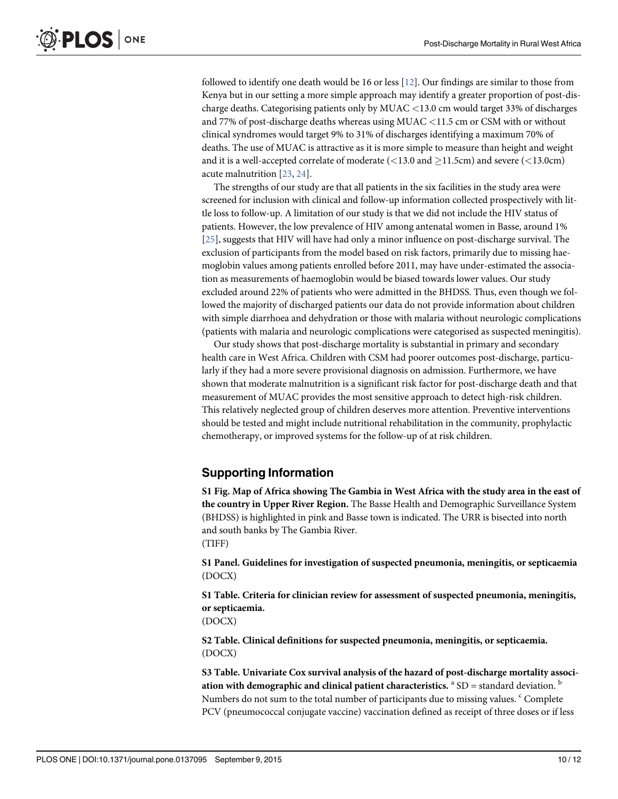<span id="page-9-0"></span>followed to identify one death would be 16 or less [[12\]](#page-11-0). Our findings are similar to those from Kenya but in our setting a more simple approach may identify a greater proportion of post-discharge deaths. Categorising patients only by MUAC <13.0 cm would target 33% of discharges and 77% of post-discharge deaths whereas using MUAC  $<$ 11.5 cm or CSM with or without clinical syndromes would target 9% to 31% of discharges identifying a maximum 70% of deaths. The use of MUAC is attractive as it is more simple to measure than height and weight and it is a well-accepted correlate of moderate  $(<13.0$  and  $\geq$ 11.5cm) and severe  $(<13.0$ cm) acute malnutrition [[23](#page-11-0), [24](#page-11-0)].

The strengths of our study are that all patients in the six facilities in the study area were screened for inclusion with clinical and follow-up information collected prospectively with little loss to follow-up. A limitation of our study is that we did not include the HIV status of patients. However, the low prevalence of HIV among antenatal women in Basse, around 1% [\[25](#page-11-0)], suggests that HIV will have had only a minor influence on post-discharge survival. The exclusion of participants from the model based on risk factors, primarily due to missing haemoglobin values among patients enrolled before 2011, may have under-estimated the association as measurements of haemoglobin would be biased towards lower values. Our study excluded around 22% of patients who were admitted in the BHDSS. Thus, even though we followed the majority of discharged patients our data do not provide information about children with simple diarrhoea and dehydration or those with malaria without neurologic complications (patients with malaria and neurologic complications were categorised as suspected meningitis).

Our study shows that post-discharge mortality is substantial in primary and secondary health care in West Africa. Children with CSM had poorer outcomes post-discharge, particularly if they had a more severe provisional diagnosis on admission. Furthermore, we have shown that moderate malnutrition is a significant risk factor for post-discharge death and that measurement of MUAC provides the most sensitive approach to detect high-risk children. This relatively neglected group of children deserves more attention. Preventive interventions should be tested and might include nutritional rehabilitation in the community, prophylactic chemotherapy, or improved systems for the follow-up of at risk children.

#### Supporting Information

[S1 Fig.](http://www.plosone.org/article/fetchSingleRepresentation.action?uri=info:doi/10.1371/journal.pone.0137095.s001) Map of Africa showing The Gambia in West Africa with the study area in the east of the country in Upper River Region. The Basse Health and Demographic Surveillance System (BHDSS) is highlighted in pink and Basse town is indicated. The URR is bisected into north and south banks by The Gambia River. (TIFF)

[S1 Panel](http://www.plosone.org/article/fetchSingleRepresentation.action?uri=info:doi/10.1371/journal.pone.0137095.s002). Guidelines for investigation of suspected pneumonia, meningitis, or septicaemia (DOCX)

[S1 Table](http://www.plosone.org/article/fetchSingleRepresentation.action?uri=info:doi/10.1371/journal.pone.0137095.s003). Criteria for clinician review for assessment of suspected pneumonia, meningitis, or septicaemia.

(DOCX)

[S2 Table](http://www.plosone.org/article/fetchSingleRepresentation.action?uri=info:doi/10.1371/journal.pone.0137095.s004). Clinical definitions for suspected pneumonia, meningitis, or septicaemia. (DOCX)

[S3 Table](http://www.plosone.org/article/fetchSingleRepresentation.action?uri=info:doi/10.1371/journal.pone.0137095.s005). Univariate Cox survival analysis of the hazard of post-discharge mortality association with demographic and clinical patient characteristics.  $a$  SD = standard deviation.  $b$ Numbers do not sum to the total number of participants due to missing values. <sup>c</sup> Complete PCV (pneumococcal conjugate vaccine) vaccination defined as receipt of three doses or if less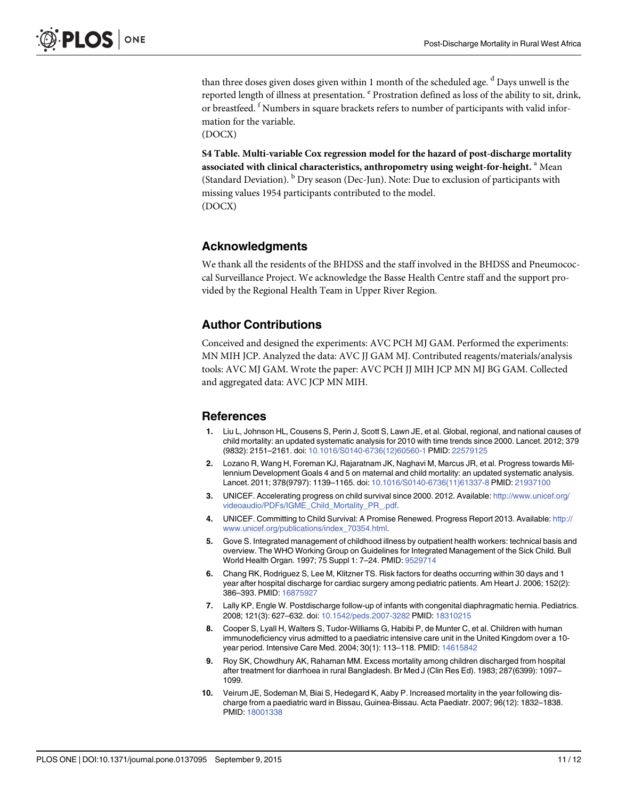<span id="page-10-0"></span>than three doses given doses given within 1 month of the scheduled age. <sup>d</sup> Days unwell is the reported length of illness at presentation. <sup>e</sup> Prostration defined as loss of the ability to sit, drink, or breastfeed.  $\hbox{^f}$  Numbers in square brackets refers to number of participants with valid information for the variable.

(DOCX)

[S4 Table](http://www.plosone.org/article/fetchSingleRepresentation.action?uri=info:doi/10.1371/journal.pone.0137095.s006). Multi-variable Cox regression model for the hazard of post-discharge mortality associated with clinical characteristics, anthropometry using weight-for-height. <sup>a</sup> Mean (Standard Deviation).  $<sup>b</sup>$  Dry season (Dec-Jun). Note: Due to exclusion of participants with</sup> missing values 1954 participants contributed to the model. (DOCX)

#### Acknowledgments

We thank all the residents of the BHDSS and the staff involved in the BHDSS and Pneumococcal Surveillance Project. We acknowledge the Basse Health Centre staff and the support provided by the Regional Health Team in Upper River Region.

#### Author Contributions

Conceived and designed the experiments: AVC PCH MJ GAM. Performed the experiments: MN MIH JCP. Analyzed the data: AVC JJ GAM MJ. Contributed reagents/materials/analysis tools: AVC MJ GAM. Wrote the paper: AVC PCH JJ MIH JCP MN MJ BG GAM. Collected and aggregated data: AVC JCP MN MIH.

#### **References**

- [1.](#page-1-0) Liu L, Johnson HL, Cousens S, Perin J, Scott S, Lawn JE, et al. Global, regional, and national causes of child mortality: an updated systematic analysis for 2010 with time trends since 2000. Lancet. 2012; 379 (9832): 2151–2161. doi: [10.1016/S0140-6736\(12\)60560-1](http://dx.doi.org/10.1016/S0140-6736(12)60560-1) PMID: [22579125](http://www.ncbi.nlm.nih.gov/pubmed/22579125)
- [2.](#page-1-0) Lozano R, Wang H, Foreman KJ, Rajaratnam JK, Naghavi M, Marcus JR, et al. Progress towards Millennium Development Goals 4 and 5 on maternal and child mortality: an updated systematic analysis. Lancet. 2011; 378(9797): 1139-1165. doi: [10.1016/S0140-6736\(11\)61337-8](http://dx.doi.org/10.1016/S0140-6736(11)61337-8) PMID: [21937100](http://www.ncbi.nlm.nih.gov/pubmed/21937100)
- [3.](#page-1-0) UNICEF. Accelerating progress on child survival since 2000. 2012. Available: [http://www.unicef.org/](http://www.unicef.org/videoaudio/PDFs/IGME_Child_Mortality_PR_.pdf) [videoaudio/PDFs/IGME\\_Child\\_Mortality\\_PR\\_.pdf](http://www.unicef.org/videoaudio/PDFs/IGME_Child_Mortality_PR_.pdf).
- [4.](#page-1-0) UNICEF. Committing to Child Survival: A Promise Renewed. Progress Report 2013. Available: [http://](http://www.unicef.org/publications/index_70354.html) [www.unicef.org/publications/index\\_70354.html](http://www.unicef.org/publications/index_70354.html).
- [5.](#page-1-0) Gove S. Integrated management of childhood illness by outpatient health workers: technical basis and overview. The WHO Working Group on Guidelines for Integrated Management of the Sick Child. Bull World Health Organ. 1997; 75 Suppl 1: 7–24. PMID: [9529714](http://www.ncbi.nlm.nih.gov/pubmed/9529714)
- [6.](#page-1-0) Chang RK, Rodriguez S, Lee M, Klitzner TS. Risk factors for deaths occurring within 30 days and 1 year after hospital discharge for cardiac surgery among pediatric patients. Am Heart J. 2006; 152(2): 386–393. PMID: [16875927](http://www.ncbi.nlm.nih.gov/pubmed/16875927)
- 7. Lally KP, Engle W. Postdischarge follow-up of infants with congenital diaphragmatic hernia. Pediatrics. 2008; 121(3): 627–632. doi: [10.1542/peds.2007-3282](http://dx.doi.org/10.1542/peds.2007-3282) PMID: [18310215](http://www.ncbi.nlm.nih.gov/pubmed/18310215)
- [8.](#page-1-0) Cooper S, Lyall H, Walters S, Tudor-Williams G, Habibi P, de Munter C, et al. Children with human immunodeficiency virus admitted to a paediatric intensive care unit in the United Kingdom over a 10- year period. Intensive Care Med. 2004; 30(1): 113-118. PMID: [14615842](http://www.ncbi.nlm.nih.gov/pubmed/14615842)
- [9.](#page-1-0) Roy SK, Chowdhury AK, Rahaman MM. Excess mortality among children discharged from hospital after treatment for diarrhoea in rural Bangladesh. Br Med J (Clin Res Ed). 1983; 287(6399): 1097– 1099.
- [10.](#page-1-0) Veirum JE, Sodeman M, Biai S, Hedegard K, Aaby P. Increased mortality in the year following discharge from a paediatric ward in Bissau, Guinea-Bissau. Acta Paediatr. 2007; 96(12): 1832–1838. PMID: [18001338](http://www.ncbi.nlm.nih.gov/pubmed/18001338)